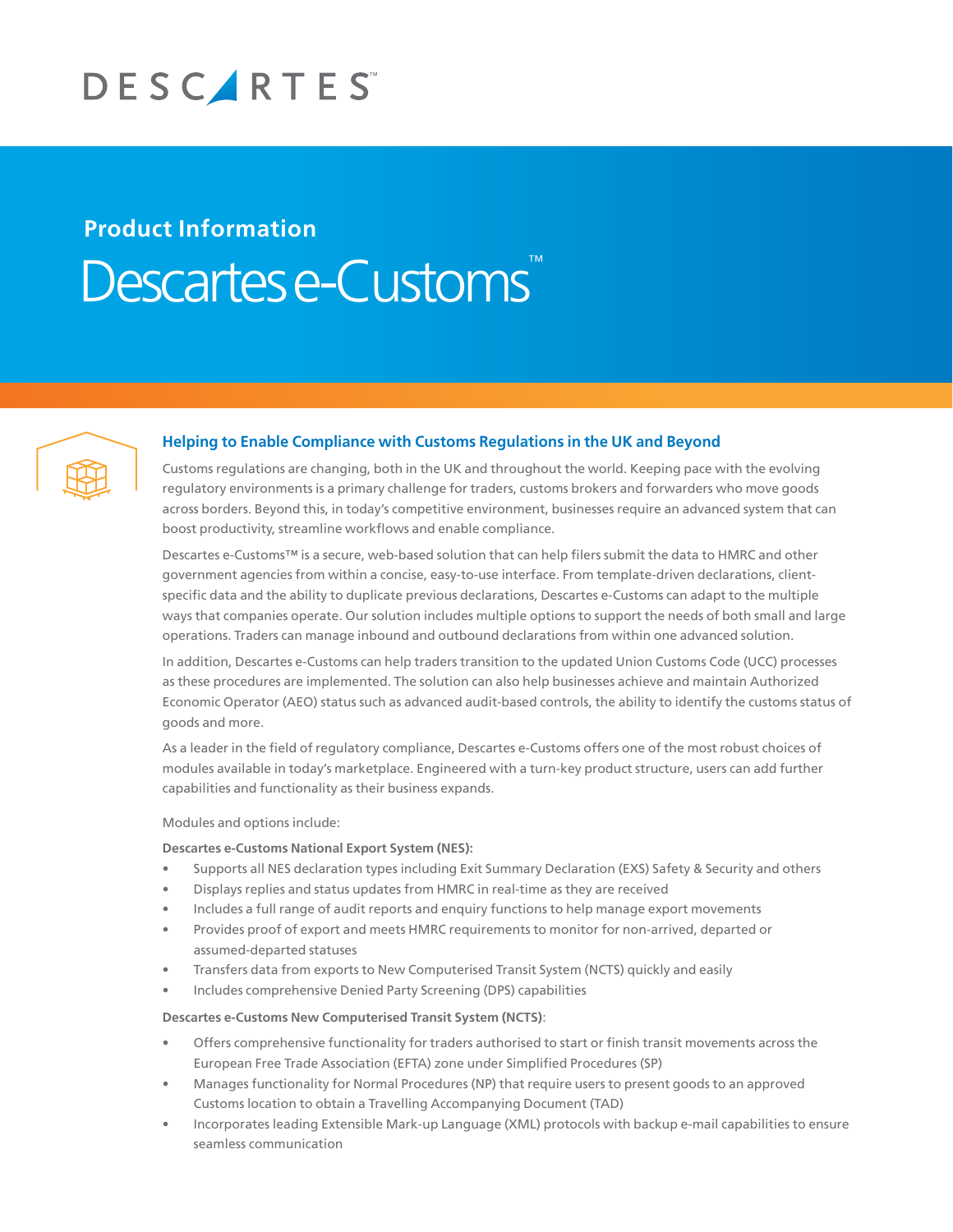

# **Product Information** Descartes e-Customs



# **Helping to Enable Compliance with Customs Regulations in the UK and Beyond**

Customs regulations are changing, both in the UK and throughout the world. Keeping pace with the evolving regulatory environments is a primary challenge for traders, customs brokers and forwarders who move goods across borders. Beyond this, in today's competitive environment, businesses require an advanced system that can boost productivity, streamline workflows and enable compliance.

Descartes e-Customs™ is a secure, web-based solution that can help filers submit the data to HMRC and other government agencies from within a concise, easy-to-use interface. From template-driven declarations, clientspecific data and the ability to duplicate previous declarations, Descartes e-Customs can adapt to the multiple ways that companies operate. Our solution includes multiple options to support the needs of both small and large operations. Traders can manage inbound and outbound declarations from within one advanced solution.

In addition, Descartes e-Customs can help traders transition to the updated Union Customs Code (UCC) processes as these procedures are implemented. The solution can also help businesses achieve and maintain Authorized Economic Operator (AEO) status such as advanced audit-based controls, the ability to identify the customs status of goods and more.

As a leader in the field of regulatory compliance, Descartes e-Customs offers one of the most robust choices of modules available in today's marketplace. Engineered with a turn-key product structure, users can add further capabilities and functionality as their business expands.

#### Modules and options include:

### **Descartes e-Customs National Export System (NES):**

- Supports all NES declaration types including Exit Summary Declaration (EXS) Safety & Security and others
- Displays replies and status updates from HMRC in real-time as they are received
- Includes a full range of audit reports and enquiry functions to help manage export movements
- Provides proof of export and meets HMRC requirements to monitor for non-arrived, departed or assumed-departed statuses
- Transfers data from exports to New Computerised Transit System (NCTS) quickly and easily
- Includes comprehensive Denied Party Screening (DPS) capabilities

#### **Descartes e-Customs New Computerised Transit System (NCTS)**:

- Offers comprehensive functionality for traders authorised to start or finish transit movements across the European Free Trade Association (EFTA) zone under Simplified Procedures (SP)
- Manages functionality for Normal Procedures (NP) that require users to present goods to an approved Customs location to obtain a Travelling Accompanying Document (TAD)
- Incorporates leading Extensible Mark-up Language (XML) protocols with backup e-mail capabilities to ensure seamless communication